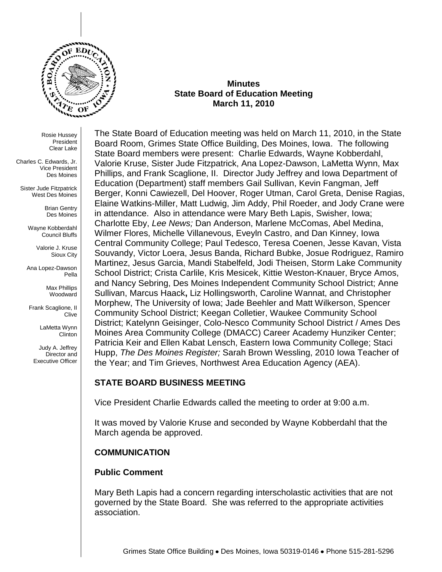

#### **Minutes State Board of Education Meeting March 11, 2010**

Rosie Hussey President Clear Lake

Charles C. Edwards, Jr. Vice President Des Moines

Sister Jude Fitzpatrick West Des Moines

> Brian Gentry Des Moines

Wayne Kobberdahl Council Bluffs

> Valorie J. Kruse Sioux City

Ana Lopez-Dawson Pella

> Max Phillips Woodward

Frank Scaglione, II Clive

> LaMetta Wynn Clinton

Judy A. Jeffrey Director and Executive Officer

The State Board of Education meeting was held on March 11, 2010, in the State Board Room, Grimes State Office Building, Des Moines, Iowa. The following State Board members were present: Charlie Edwards, Wayne Kobberdahl, Valorie Kruse, Sister Jude Fitzpatrick, Ana Lopez-Dawson, LaMetta Wynn, Max Phillips, and Frank Scaglione, II. Director Judy Jeffrey and Iowa Department of Education (Department) staff members Gail Sullivan, Kevin Fangman, Jeff Berger, Konni Cawiezell, Del Hoover, Roger Utman, Carol Greta, Denise Ragias, Elaine Watkins-Miller, Matt Ludwig, Jim Addy, Phil Roeder, and Jody Crane were in attendance. Also in attendance were Mary Beth Lapis, Swisher, Iowa; Charlotte Eby, *Lee News;* Dan Anderson, Marlene McComas, Abel Medina, Wilmer Flores, Michelle Villanevous, Eveyln Castro, and Dan Kinney, Iowa Central Community College; Paul Tedesco, Teresa Coenen, Jesse Kavan, Vista Souvandy, Victor Loera, Jesus Banda, Richard Bubke, Josue Rodriguez, Ramiro Martinez, Jesus Garcia, Mandi Stabelfeld, Jodi Theisen, Storm Lake Community School District; Crista Carlile, Kris Mesicek, Kittie Weston-Knauer, Bryce Amos, and Nancy Sebring, Des Moines Independent Community School District; Anne Sullivan, Marcus Haack**,** Liz Hollingsworth, Caroline Wannat, and Christopher Morphew, The University of Iowa; Jade Beehler and Matt Wilkerson, Spencer Community School District; Keegan Colletier, Waukee Community School District; Katelynn Geisinger, Colo-Nesco Community School District / Ames Des Moines Area Community College (DMACC) Career Academy Hunziker Center; Patricia Keir and Ellen Kabat Lensch, Eastern Iowa Community College; Staci Hupp, *The Des Moines Register;* Sarah Brown Wessling, 2010 Iowa Teacher of the Year; and Tim Grieves, Northwest Area Education Agency (AEA).

# **STATE BOARD BUSINESS MEETING**

Vice President Charlie Edwards called the meeting to order at 9:00 a.m.

It was moved by Valorie Kruse and seconded by Wayne Kobberdahl that the March agenda be approved.

# **COMMUNICATION**

# **Public Comment**

Mary Beth Lapis had a concern regarding interscholastic activities that are not governed by the State Board. She was referred to the appropriate activities association.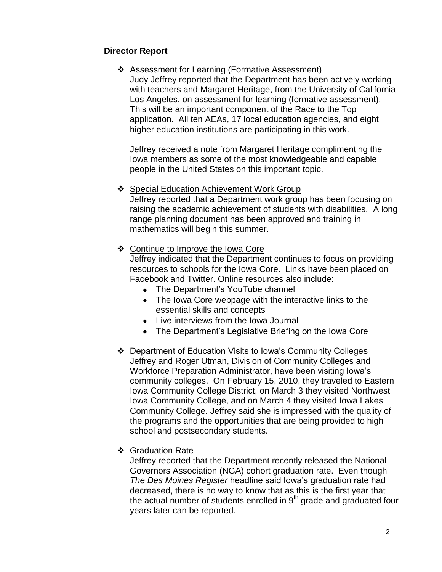# **Director Report**

### Assessment for Learning (Formative Assessment)

Judy Jeffrey reported that the Department has been actively working with teachers and Margaret Heritage, from the University of California-Los Angeles, on assessment for learning (formative assessment). This will be an important component of the Race to the Top application. All ten AEAs, 17 local education agencies, and eight higher education institutions are participating in this work.

Jeffrey received a note from Margaret Heritage complimenting the Iowa members as some of the most knowledgeable and capable people in the United States on this important topic.

#### ❖ Special Education Achievement Work Group

Jeffrey reported that a Department work group has been focusing on raising the academic achievement of students with disabilities. A long range planning document has been approved and training in mathematics will begin this summer.

#### ❖ Continue to Improve the Iowa Core

Jeffrey indicated that the Department continues to focus on providing resources to schools for the Iowa Core. Links have been placed on Facebook and Twitter. Online resources also include:

- The Department's YouTube channel
- The Iowa Core webpage with the interactive links to the essential skills and concepts
- Live interviews from the Iowa Journal
- The Department's Legislative Briefing on the Iowa Core
- Department of Education Visits to Iowa's Community Colleges Jeffrey and Roger Utman, Division of Community Colleges and Workforce Preparation Administrator, have been visiting Iowa's community colleges. On February 15, 2010, they traveled to Eastern Iowa Community College District, on March 3 they visited Northwest Iowa Community College, and on March 4 they visited Iowa Lakes Community College. Jeffrey said she is impressed with the quality of the programs and the opportunities that are being provided to high school and postsecondary students.
- Graduation Rate

Jeffrey reported that the Department recently released the National Governors Association (NGA) cohort graduation rate. Even though *The Des Moines Register* headline said Iowa's graduation rate had decreased, there is no way to know that as this is the first year that the actual number of students enrolled in  $9<sup>th</sup>$  grade and graduated four years later can be reported.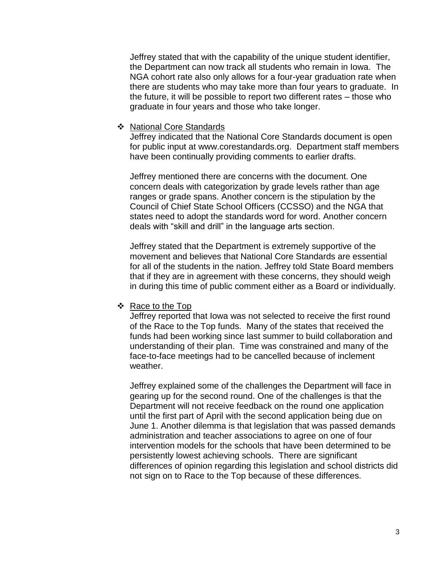Jeffrey stated that with the capability of the unique student identifier, the Department can now track all students who remain in Iowa. The NGA cohort rate also only allows for a four-year graduation rate when there are students who may take more than four years to graduate. In the future, it will be possible to report two different rates – those who graduate in four years and those who take longer.

#### ❖ National Core Standards

Jeffrey indicated that the National Core Standards document is open for public input at [www.corestandards.org.](http://www.corestandards.org/) Department staff members have been continually providing comments to earlier drafts.

Jeffrey mentioned there are concerns with the document. One concern deals with categorization by grade levels rather than age ranges or grade spans. Another concern is the stipulation by the Council of Chief State School Officers (CCSSO) and the NGA that states need to adopt the standards word for word. Another concern deals with "skill and drill" in the language arts section.

Jeffrey stated that the Department is extremely supportive of the movement and believes that National Core Standards are essential for all of the students in the nation. Jeffrey told State Board members that if they are in agreement with these concerns, they should weigh in during this time of public comment either as a Board or individually.

#### ❖ Race to the Top

Jeffrey reported that Iowa was not selected to receive the first round of the Race to the Top funds. Many of the states that received the funds had been working since last summer to build collaboration and understanding of their plan. Time was constrained and many of the face-to-face meetings had to be cancelled because of inclement weather.

Jeffrey explained some of the challenges the Department will face in gearing up for the second round. One of the challenges is that the Department will not receive feedback on the round one application until the first part of April with the second application being due on June 1. Another dilemma is that legislation that was passed demands administration and teacher associations to agree on one of four intervention models for the schools that have been determined to be persistently lowest achieving schools. There are significant differences of opinion regarding this legislation and school districts did not sign on to Race to the Top because of these differences.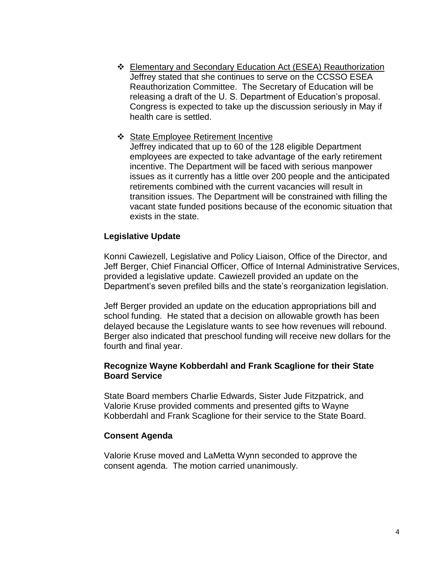Elementary and Secondary Education Act (ESEA) Reauthorization Jeffrey stated that she continues to serve on the CCSSO ESEA Reauthorization Committee. The Secretary of Education will be releasing a draft of the U. S. Department of Education's proposal. Congress is expected to take up the discussion seriously in May if health care is settled.

#### ❖ State Employee Retirement Incentive Jeffrey indicated that up to 60 of the 128 eligible Department employees are expected to take advantage of the early retirement incentive. The Department will be faced with serious manpower issues as it currently has a little over 200 people and the anticipated retirements combined with the current vacancies will result in transition issues. The Department will be constrained with filling the vacant state funded positions because of the economic situation that

# **Legislative Update**

exists in the state.

Konni Cawiezell, Legislative and Policy Liaison, Office of the Director, and Jeff Berger, Chief Financial Officer, Office of Internal Administrative Services, provided a legislative update. Cawiezell provided an update on the Department's seven prefiled bills and the state's reorganization legislation.

Jeff Berger provided an update on the education appropriations bill and school funding. He stated that a decision on allowable growth has been delayed because the Legislature wants to see how revenues will rebound. Berger also indicated that preschool funding will receive new dollars for the fourth and final year.

### **Recognize Wayne Kobberdahl and Frank Scaglione for their State Board Service**

State Board members Charlie Edwards, Sister Jude Fitzpatrick, and Valorie Kruse provided comments and presented gifts to Wayne Kobberdahl and Frank Scaglione for their service to the State Board.

#### **Consent Agenda**

Valorie Kruse moved and LaMetta Wynn seconded to approve the consent agenda. The motion carried unanimously.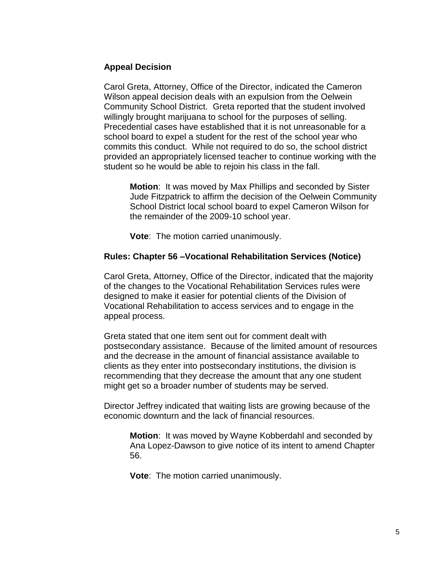# **Appeal Decision**

Carol Greta, Attorney, Office of the Director, indicated the Cameron Wilson appeal decision deals with an expulsion from the Oelwein Community School District. Greta reported that the student involved willingly brought marijuana to school for the purposes of selling. Precedential cases have established that it is not unreasonable for a school board to expel a student for the rest of the school year who commits this conduct. While not required to do so, the school district provided an appropriately licensed teacher to continue working with the student so he would be able to rejoin his class in the fall.

**Motion**: It was moved by Max Phillips and seconded by Sister Jude Fitzpatrick to affirm the decision of the Oelwein Community School District local school board to expel Cameron Wilson for the remainder of the 2009-10 school year.

**Vote**: The motion carried unanimously.

# **Rules: Chapter 56 –Vocational Rehabilitation Services (Notice)**

Carol Greta, Attorney, Office of the Director, indicated that the majority of the changes to the Vocational Rehabilitation Services rules were designed to make it easier for potential clients of the Division of Vocational Rehabilitation to access services and to engage in the appeal process.

Greta stated that one item sent out for comment dealt with postsecondary assistance. Because of the limited amount of resources and the decrease in the amount of financial assistance available to clients as they enter into postsecondary institutions, the division is recommending that they decrease the amount that any one student might get so a broader number of students may be served.

Director Jeffrey indicated that waiting lists are growing because of the economic downturn and the lack of financial resources.

**Motion**: It was moved by Wayne Kobberdahl and seconded by Ana Lopez-Dawson to give notice of its intent to amend Chapter 56.

**Vote**: The motion carried unanimously.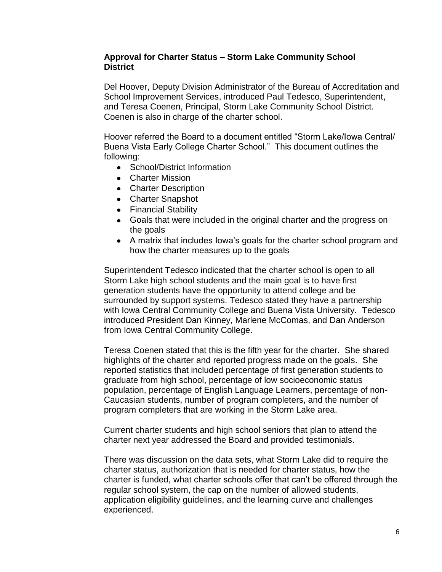### **Approval for Charter Status – Storm Lake Community School District**

Del Hoover, Deputy Division Administrator of the Bureau of Accreditation and School Improvement Services, introduced Paul Tedesco, Superintendent, and Teresa Coenen, Principal, Storm Lake Community School District. Coenen is also in charge of the charter school.

Hoover referred the Board to a document entitled "Storm Lake/Iowa Central/ Buena Vista Early College Charter School." This document outlines the following:

- School/District Information
- Charter Mission
- Charter Description
- Charter Snapshot
- Financial Stability
- Goals that were included in the original charter and the progress on the goals
- A matrix that includes lowa's goals for the charter school program and how the charter measures up to the goals

Superintendent Tedesco indicated that the charter school is open to all Storm Lake high school students and the main goal is to have first generation students have the opportunity to attend college and be surrounded by support systems. Tedesco stated they have a partnership with Iowa Central Community College and Buena Vista University. Tedesco introduced President Dan Kinney, Marlene McComas, and Dan Anderson from Iowa Central Community College.

Teresa Coenen stated that this is the fifth year for the charter. She shared highlights of the charter and reported progress made on the goals. She reported statistics that included percentage of first generation students to graduate from high school, percentage of low socioeconomic status population, percentage of English Language Learners, percentage of non-Caucasian students, number of program completers, and the number of program completers that are working in the Storm Lake area.

Current charter students and high school seniors that plan to attend the charter next year addressed the Board and provided testimonials.

There was discussion on the data sets, what Storm Lake did to require the charter status, authorization that is needed for charter status, how the charter is funded, what charter schools offer that can't be offered through the regular school system, the cap on the number of allowed students, application eligibility guidelines, and the learning curve and challenges experienced.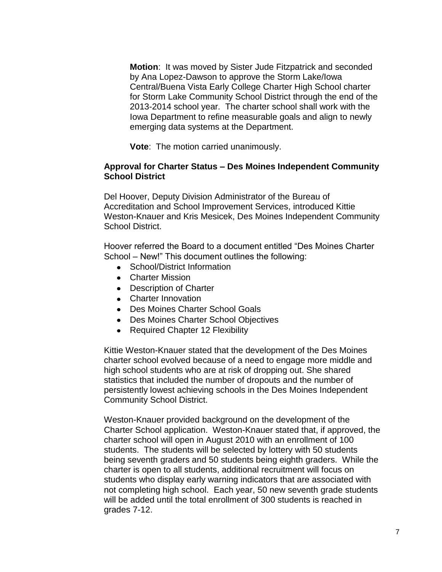**Motion**: It was moved by Sister Jude Fitzpatrick and seconded by Ana Lopez-Dawson to approve the Storm Lake/Iowa Central/Buena Vista Early College Charter High School charter for Storm Lake Community School District through the end of the 2013-2014 school year. The charter school shall work with the Iowa Department to refine measurable goals and align to newly emerging data systems at the Department.

**Vote**: The motion carried unanimously.

# **Approval for Charter Status – Des Moines Independent Community School District**

Del Hoover, Deputy Division Administrator of the Bureau of Accreditation and School Improvement Services, introduced Kittie Weston-Knauer and Kris Mesicek, Des Moines Independent Community School District.

Hoover referred the Board to a document entitled "Des Moines Charter School – New!" This document outlines the following:

- School/District Information
- Charter Mission
- Description of Charter
- Charter Innovation
- Des Moines Charter School Goals
- Des Moines Charter School Objectives
- Required Chapter 12 Flexibility

Kittie Weston-Knauer stated that the development of the Des Moines charter school evolved because of a need to engage more middle and high school students who are at risk of dropping out. She shared statistics that included the number of dropouts and the number of persistently lowest achieving schools in the Des Moines Independent Community School District.

Weston-Knauer provided background on the development of the Charter School application. Weston-Knauer stated that, if approved, the charter school will open in August 2010 with an enrollment of 100 students. The students will be selected by lottery with 50 students being seventh graders and 50 students being eighth graders. While the charter is open to all students, additional recruitment will focus on students who display early warning indicators that are associated with not completing high school. Each year, 50 new seventh grade students will be added until the total enrollment of 300 students is reached in grades 7-12.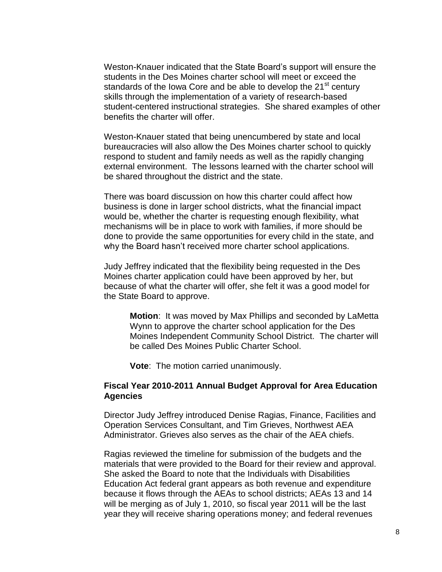Weston-Knauer indicated that the State Board's support will ensure the students in the Des Moines charter school will meet or exceed the standards of the Iowa Core and be able to develop the  $21<sup>st</sup>$  century skills through the implementation of a variety of research-based student-centered instructional strategies. She shared examples of other benefits the charter will offer.

Weston-Knauer stated that being unencumbered by state and local bureaucracies will also allow the Des Moines charter school to quickly respond to student and family needs as well as the rapidly changing external environment. The lessons learned with the charter school will be shared throughout the district and the state.

There was board discussion on how this charter could affect how business is done in larger school districts, what the financial impact would be, whether the charter is requesting enough flexibility, what mechanisms will be in place to work with families, if more should be done to provide the same opportunities for every child in the state, and why the Board hasn't received more charter school applications.

Judy Jeffrey indicated that the flexibility being requested in the Des Moines charter application could have been approved by her, but because of what the charter will offer, she felt it was a good model for the State Board to approve.

**Motion**: It was moved by Max Phillips and seconded by LaMetta Wynn to approve the charter school application for the Des Moines Independent Community School District. The charter will be called Des Moines Public Charter School.

**Vote**: The motion carried unanimously.

#### **Fiscal Year 2010-2011 Annual Budget Approval for Area Education Agencies**

Director Judy Jeffrey introduced Denise Ragias, Finance, Facilities and Operation Services Consultant, and Tim Grieves, Northwest AEA Administrator. Grieves also serves as the chair of the AEA chiefs.

Ragias reviewed the timeline for submission of the budgets and the materials that were provided to the Board for their review and approval. She asked the Board to note that the Individuals with Disabilities Education Act federal grant appears as both revenue and expenditure because it flows through the AEAs to school districts; AEAs 13 and 14 will be merging as of July 1, 2010, so fiscal year 2011 will be the last year they will receive sharing operations money; and federal revenues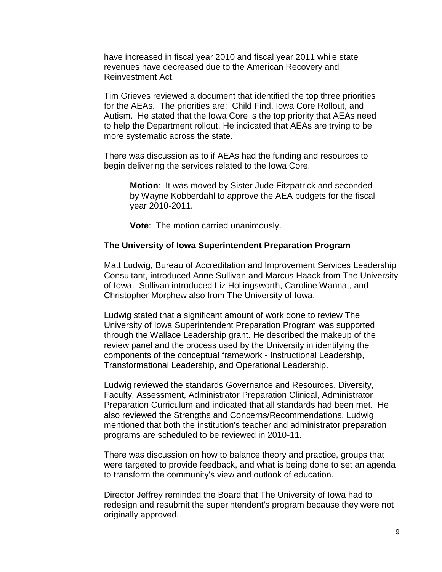have increased in fiscal year 2010 and fiscal year 2011 while state revenues have decreased due to the American Recovery and Reinvestment Act.

Tim Grieves reviewed a document that identified the top three priorities for the AEAs. The priorities are: Child Find, Iowa Core Rollout, and Autism. He stated that the Iowa Core is the top priority that AEAs need to help the Department rollout. He indicated that AEAs are trying to be more systematic across the state.

There was discussion as to if AEAs had the funding and resources to begin delivering the services related to the Iowa Core.

**Motion**: It was moved by Sister Jude Fitzpatrick and seconded by Wayne Kobberdahl to approve the AEA budgets for the fiscal year 2010-2011.

**Vote**: The motion carried unanimously.

#### **The University of Iowa Superintendent Preparation Program**

Matt Ludwig, Bureau of Accreditation and Improvement Services Leadership Consultant, introduced Anne Sullivan and Marcus Haack from The University of Iowa. Sullivan introduced Liz Hollingsworth, Caroline Wannat, and Christopher Morphew also from The University of Iowa.

Ludwig stated that a significant amount of work done to review The University of Iowa Superintendent Preparation Program was supported through the Wallace Leadership grant. He described the makeup of the review panel and the process used by the University in identifying the components of the conceptual framework - Instructional Leadership, Transformational Leadership, and Operational Leadership.

Ludwig reviewed the standards Governance and Resources, Diversity, Faculty, Assessment, Administrator Preparation Clinical, Administrator Preparation Curriculum and indicated that all standards had been met. He also reviewed the Strengths and Concerns/Recommendations. Ludwig mentioned that both the institution's teacher and administrator preparation programs are scheduled to be reviewed in 2010-11.

There was discussion on how to balance theory and practice, groups that were targeted to provide feedback, and what is being done to set an agenda to transform the community's view and outlook of education.

Director Jeffrey reminded the Board that The University of Iowa had to redesign and resubmit the superintendent's program because they were not originally approved.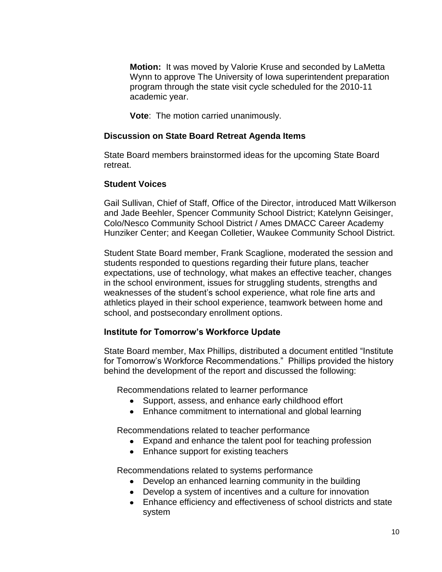**Motion:** It was moved by Valorie Kruse and seconded by LaMetta Wynn to approve The University of Iowa superintendent preparation program through the state visit cycle scheduled for the 2010-11 academic year.

**Vote**: The motion carried unanimously.

# **Discussion on State Board Retreat Agenda Items**

State Board members brainstormed ideas for the upcoming State Board retreat.

# **Student Voices**

Gail Sullivan, Chief of Staff, Office of the Director, introduced Matt Wilkerson and Jade Beehler, Spencer Community School District; Katelynn Geisinger, Colo/Nesco Community School District / Ames DMACC Career Academy Hunziker Center; and Keegan Colletier, Waukee Community School District.

Student State Board member, Frank Scaglione, moderated the session and students responded to questions regarding their future plans, teacher expectations, use of technology, what makes an effective teacher, changes in the school environment, issues for struggling students, strengths and weaknesses of the student's school experience, what role fine arts and athletics played in their school experience, teamwork between home and school, and postsecondary enrollment options.

# **Institute for Tomorrow's Workforce Update**

State Board member, Max Phillips, distributed a document entitled "Institute for Tomorrow's Workforce Recommendations." Phillips provided the history behind the development of the report and discussed the following:

Recommendations related to learner performance

- Support, assess, and enhance early childhood effort
- Enhance commitment to international and global learning

Recommendations related to teacher performance

- Expand and enhance the talent pool for teaching profession
- Enhance support for existing teachers

Recommendations related to systems performance

- Develop an enhanced learning community in the building
- Develop a system of incentives and a culture for innovation
- Enhance efficiency and effectiveness of school districts and state system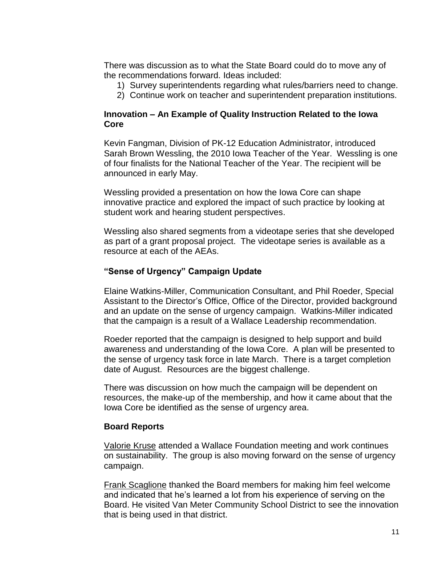There was discussion as to what the State Board could do to move any of the recommendations forward. Ideas included:

- 1) Survey superintendents regarding what rules/barriers need to change.
- 2) Continue work on teacher and superintendent preparation institutions.

# **Innovation – An Example of Quality Instruction Related to the Iowa Core**

Kevin Fangman, Division of PK-12 Education Administrator, introduced Sarah Brown Wessling, the 2010 Iowa Teacher of the Year. Wessling is one of four finalists for the National Teacher of the Year. The recipient will be announced in early May.

Wessling provided a presentation on how the Iowa Core can shape innovative practice and explored the impact of such practice by looking at student work and hearing student perspectives.

Wessling also shared segments from a videotape series that she developed as part of a grant proposal project. The videotape series is available as a resource at each of the AEAs.

# **"Sense of Urgency" Campaign Update**

Elaine Watkins-Miller, Communication Consultant, and Phil Roeder, Special Assistant to the Director's Office, Office of the Director, provided background and an update on the sense of urgency campaign. Watkins-Miller indicated that the campaign is a result of a Wallace Leadership recommendation.

Roeder reported that the campaign is designed to help support and build awareness and understanding of the Iowa Core. A plan will be presented to the sense of urgency task force in late March. There is a target completion date of August. Resources are the biggest challenge.

There was discussion on how much the campaign will be dependent on resources, the make-up of the membership, and how it came about that the Iowa Core be identified as the sense of urgency area.

# **Board Reports**

Valorie Kruse attended a Wallace Foundation meeting and work continues on sustainability. The group is also moving forward on the sense of urgency campaign.

Frank Scaglione thanked the Board members for making him feel welcome and indicated that he's learned a lot from his experience of serving on the Board. He visited Van Meter Community School District to see the innovation that is being used in that district.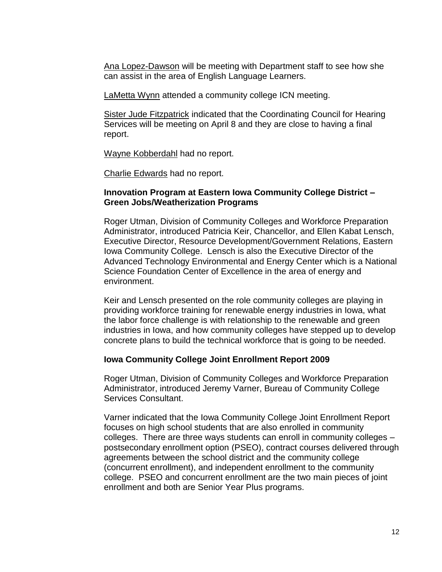Ana Lopez-Dawson will be meeting with Department staff to see how she can assist in the area of English Language Learners.

LaMetta Wynn attended a community college ICN meeting.

**Sister Jude Fitzpatrick indicated that the Coordinating Council for Hearing** Services will be meeting on April 8 and they are close to having a final report.

Wayne Kobberdahl had no report.

Charlie Edwards had no report.

#### **Innovation Program at Eastern Iowa Community College District – Green Jobs/Weatherization Programs**

Roger Utman, Division of Community Colleges and Workforce Preparation Administrator, introduced Patricia Keir, Chancellor, and Ellen Kabat Lensch, Executive Director, Resource Development/Government Relations, Eastern Iowa Community College. Lensch is also the Executive Director of the Advanced Technology Environmental and Energy Center which is a National Science Foundation Center of Excellence in the area of energy and environment.

Keir and Lensch presented on the role community colleges are playing in providing workforce training for renewable energy industries in Iowa, what the labor force challenge is with relationship to the renewable and green industries in Iowa, and how community colleges have stepped up to develop concrete plans to build the technical workforce that is going to be needed.

#### **Iowa Community College Joint Enrollment Report 2009**

Roger Utman, Division of Community Colleges and Workforce Preparation Administrator, introduced Jeremy Varner, Bureau of Community College Services Consultant.

Varner indicated that the Iowa Community College Joint Enrollment Report focuses on high school students that are also enrolled in community colleges. There are three ways students can enroll in community colleges – postsecondary enrollment option (PSEO), contract courses delivered through agreements between the school district and the community college (concurrent enrollment), and independent enrollment to the community college. PSEO and concurrent enrollment are the two main pieces of joint enrollment and both are Senior Year Plus programs.